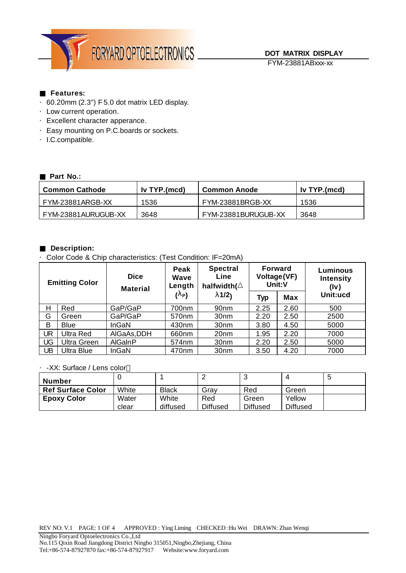

## **Features:**

- ·60.20mm (2.3") F 5.0 dot matrix LED display.
- ·Low current operation.
- ·Excellent character apperance.
- ·Easy mounting on P.C.boards or sockets.
- ·I.C.compatible.

## **Part No.:**

| <b>Common Cathode</b> | $\blacksquare$ Iv TYP.(mcd) | <b>Common Anode</b>     | Iv TYP.(mcd) |  |
|-----------------------|-----------------------------|-------------------------|--------------|--|
| FYM-23881ARGB-XX      | 1536                        | <b>FYM-23881BRGB-XX</b> | 1536         |  |
| FYM-23881AURUGUB-XX   | 3648                        | FYM-23881BURUGUB-XX     | 3648         |  |

## **Description:**

·Color Code & Chip characteristics: (Test Condition: IF=20mA)

| <b>Emitting Color</b> |                    | <b>Dice</b><br><b>Material</b> |                   | <b>Spectral</b><br>Line<br>halfwidth( | Forward<br>Voltage(VF)<br>Unit:V |            | <b>Luminous</b><br><b>Intensity</b><br>(lv) |  |
|-----------------------|--------------------|--------------------------------|-------------------|---------------------------------------|----------------------------------|------------|---------------------------------------------|--|
|                       |                    |                                | $(\mathbf{l}_P)$  | 11/2                                  | <b>Typ</b>                       | <b>Max</b> | Unit:ucd                                    |  |
| Η                     | Red                | GaP/GaP                        | 700nm             | 90 <sub>nm</sub>                      | 2.25                             | 2.60       | 500                                         |  |
| G                     | Green              | GaP/GaP                        | 570 <sub>nm</sub> | 30 <sub>nm</sub>                      | 2.20                             | 2.50       | 2500                                        |  |
| B                     | <b>Blue</b>        | InGaN                          | 430nm             | 30 <sub>nm</sub>                      | 3.80                             | 4.50       | 5000                                        |  |
| UR                    | <b>Ultra Red</b>   | AIGaAs, DDH                    | 660nm             | 20 <sub>nm</sub>                      | 1.95                             | 2.20       | 7000                                        |  |
| <b>UG</b>             | <b>Ultra Green</b> | <b>AlGaInP</b>                 | 574nm             | 30 <sub>nm</sub>                      | 2.20                             | 2.50       | 5000                                        |  |
| UB                    | <b>Ultra Blue</b>  | <b>InGaN</b>                   | 470nm             | 30 <sub>nm</sub>                      | 3.50                             | 4.20       | 7000                                        |  |

#### ·-XX: Surface / Lens color

| <b>Number</b>            |       |              |                 |                 |                 | G |
|--------------------------|-------|--------------|-----------------|-----------------|-----------------|---|
| <b>Ref Surface Color</b> | White | <b>Black</b> | Grav            | Red             | Green           |   |
| <b>Epoxy Color</b>       | Water | White        | Red             | Green           | Yellow          |   |
|                          | clear | diffused     | <b>Diffused</b> | <b>Diffused</b> | <b>Diffused</b> |   |

REV NO: V.1 PAGE: 1 OF 4 APPROVED : Ying Liming CHECKED :Hu Wei DRAWN: Zhan Wenqi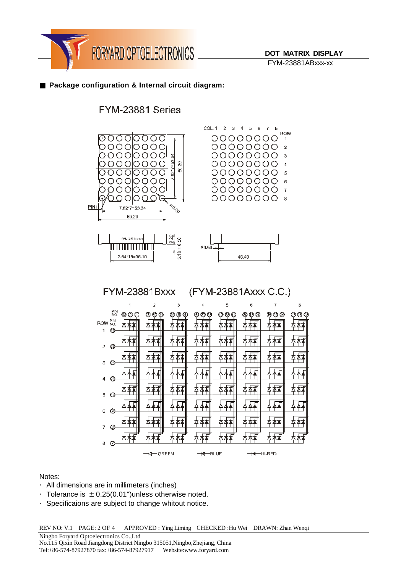

FYM-23881ABxxx-xx

 $\mathbf{x}$ 

fA

## **Package configuration & Internal circuit diagram:**

# FYM-23881 Series



| 2<br>⊙<br>п                                                                                |  |
|--------------------------------------------------------------------------------------------|--|
| -<br>3<br>の                                                                                |  |
| ◠                                                                                          |  |
| ⊙<br>4                                                                                     |  |
| 5<br>O                                                                                     |  |
| ⊙<br>6                                                                                     |  |
| ⊕<br>7                                                                                     |  |
| y<br>Δ<br>∧<br>ë.<br>Ø<br><b>KI</b> -BLIJE<br><del>K</del> I— GREEN<br><del>K</del> ⊟H⊩R∃D |  |

Notes:

- ·All dimensions are in millimeters (inches)
- Tolerance is  $\pm$  0.25(0.01") unless otherwise noted.
- ·Specificaions are subject to change whitout notice.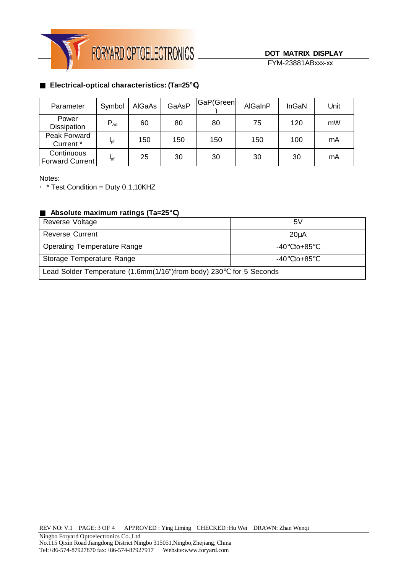

# **Electrical-optical characteristics: (Ta=25 )**

| Parameter                     | Symbol          | AIGaAs | GaAsP | GaP(Green | AlGaInP | InGaN | Unit |
|-------------------------------|-----------------|--------|-------|-----------|---------|-------|------|
| Power<br><b>Dissipation</b>   | $P_{ad}$        | 60     | 80    | 80        | 75      | 120   | mW   |
| Peak Forward<br>Current *     | $I_{\text{Df}}$ | 150    | 150   | 150       | 150     | 100   | mA   |
| Continuous<br>Forward Current | laf             | 25     | 30    | 30        | 30      | 30    | mA   |

Notes:

 $\cdot$  \* Test Condition = Duty 0.1,10KHZ

#### **Absolute maximum ratings (Ta=25 )**

| Reverse Voltage                                                   | 5۷             |
|-------------------------------------------------------------------|----------------|
| <b>Reverse Current</b>                                            | $20\mu A$      |
| Operating Temperature Range                                       | $-40$ to $+85$ |
| Storage Temperature Range                                         | to+85<br>-40   |
| Lead Solder Temperature (1.6mm(1/16")from body) 230 for 5 Seconds |                |

REV NO: V.1 PAGE: 3 OF 4 APPROVED : Ying Liming CHECKED :Hu Wei DRAWN: Zhan Wenqi